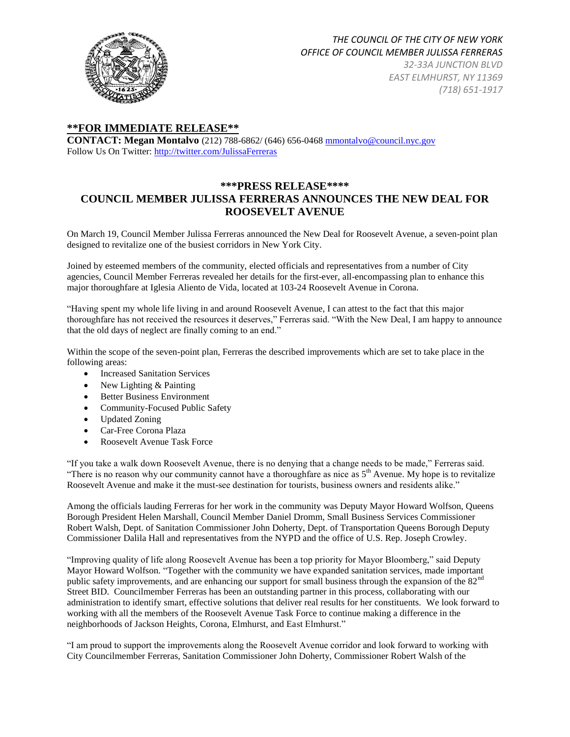

# *THE COUNCIL OF THE CITY OF NEW YORK OFFICE OF COUNCIL MEMBER JULISSA FERRERAS*

*32-33A JUNCTION BLVD EAST ELMHURST, NY 11369 (718) 651-1917*

## **\*\*FOR IMMEDIATE RELEASE\*\***

**CONTACT: Megan Montalvo** (212) 788-6862/ (646) 656-046[8 mmontalvo@council.nyc.gov](http://r20.rs6.net/tn.jsp?e=001u7KRALq7p2jpWcGuVfnDnAOivYa8SXu8r0XiniMV-UVC93ts4iqd_xnYrzM5aTSQnUrCuDeQDcIJqYqOOJsN5K5Fl8SJWt8ZZX2Oo0e5aBc=) Follow Us On Twitter: [http://twitter.com/JulissaFerreras](http://r20.rs6.net/tn.jsp?e=001u7KRALq7p2jpWcGuVfnDnAOivYa8SXu8r0XiniMV-UVC93ts4iqd_xnYrzM5aTSQnUrCuDeQDcIJqYqOOJsN5K5Fl8SJWt8ZZX2Oo0e5aBc=)

## **\*\*\*PRESS RELEASE\*\*\*\* COUNCIL MEMBER JULISSA FERRERAS ANNOUNCES THE NEW DEAL FOR ROOSEVELT AVENUE**

On March 19, Council Member Julissa Ferreras announced the New Deal for Roosevelt Avenue, a seven-point plan designed to revitalize one of the busiest corridors in New York City.

Joined by esteemed members of the community, elected officials and representatives from a number of City agencies, Council Member Ferreras revealed her details for the first-ever, all-encompassing plan to enhance this major thoroughfare at Iglesia Aliento de Vida, located at 103-24 Roosevelt Avenue in Corona.

"Having spent my whole life living in and around Roosevelt Avenue, I can attest to the fact that this major thoroughfare has not received the resources it deserves," Ferreras said. "With the New Deal, I am happy to announce that the old days of neglect are finally coming to an end."

Within the scope of the seven-point plan, Ferreras the described improvements which are set to take place in the following areas:

- Increased Sanitation Services
- New Lighting & Painting
- **•** Better Business Environment
- Community-Focused Public Safety
- Updated Zoning
- Car-Free Corona Plaza
- Roosevelt Avenue Task Force

"If you take a walk down Roosevelt Avenue, there is no denying that a change needs to be made," Ferreras said. "There is no reason why our community cannot have a thoroughfare as nice as  $5<sup>th</sup>$  Avenue. My hope is to revitalize Roosevelt Avenue and make it the must-see destination for tourists, business owners and residents alike."

Among the officials lauding Ferreras for her work in the community was Deputy Mayor Howard Wolfson, Queens Borough President Helen Marshall, Council Member Daniel Dromm, Small Business Services Commissioner Robert Walsh, Dept. of Sanitation Commissioner John Doherty, Dept. of Transportation Queens Borough Deputy Commissioner Dalila Hall and representatives from the NYPD and the office of U.S. Rep. Joseph Crowley.

"Improving quality of life along Roosevelt Avenue has been a top priority for Mayor Bloomberg," said Deputy Mayor Howard Wolfson. "Together with the community we have expanded sanitation services, made important public safety improvements, and are enhancing our support for small business through the expansion of the 82<sup>nd</sup> Street BID. Councilmember Ferreras has been an outstanding partner in this process, collaborating with our administration to identify smart, effective solutions that deliver real results for her constituents. We look forward to working with all the members of the Roosevelt Avenue Task Force to continue making a difference in the neighborhoods of Jackson Heights, Corona, Elmhurst, and East Elmhurst."

"I am proud to support the improvements along the Roosevelt Avenue corridor and look forward to working with City Councilmember Ferreras, Sanitation Commissioner John Doherty, Commissioner Robert Walsh of the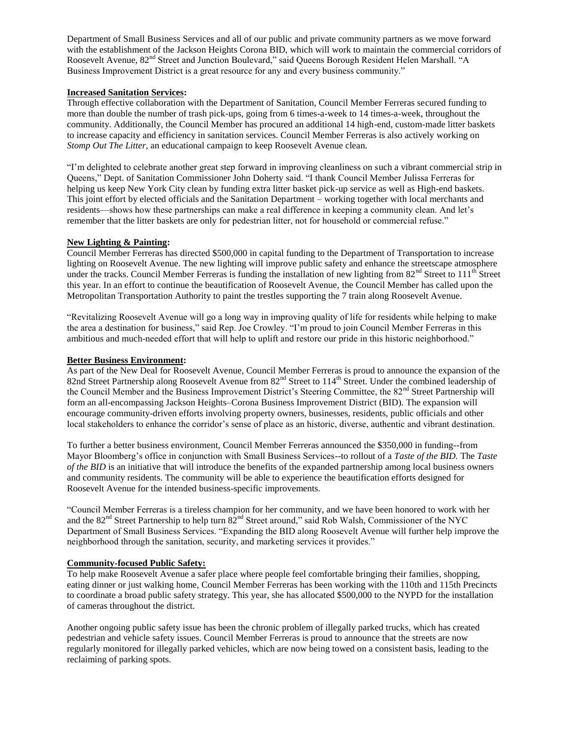Department of Small Business Services and all of our public and private community partners as we move forward with the establishment of the Jackson Heights Corona BID, which will work to maintain the commercial corridors of Roosevelt Avenue, 82nd Street and Junction Boulevard," said Queens Borough Resident Helen Marshall. "A Business Improvement District is a great resource for any and every business community."

## **Increased Sanitation Services:**

Through effective collaboration with the Department of Sanitation, Council Member Ferreras secured funding to more than double the number of trash pick-ups, going from 6 times-a-week to 14 times-a-week, throughout the community. Additionally, the Council Member has procured an additional 14 high-end, custom-made litter baskets to increase capacity and efficiency in sanitation services. Council Member Ferreras is also actively working on *Stomp Out The Litter*, an educational campaign to keep Roosevelt Avenue clean.

"I'm delighted to celebrate another great step forward in improving cleanliness on such a vibrant commercial strip in Queens," Dept. of Sanitation Commissioner John Doherty said. "I thank Council Member Julissa Ferreras for helping us keep New York City clean by funding extra litter basket pick-up service as well as High-end baskets. This joint effort by elected officials and the Sanitation Department – working together with local merchants and residents—shows how these partnerships can make a real difference in keeping a community clean. And let's remember that the litter baskets are only for pedestrian litter, not for household or commercial refuse."

## **New Lighting & Painting:**

Council Member Ferreras has directed \$500,000 in capital funding to the Department of Transportation to increase lighting on Roosevelt Avenue. The new lighting will improve public safety and enhance the streetscape atmosphere under the tracks. Council Member Ferreras is funding the installation of new lighting from  $82<sup>nd</sup>$  Street to  $111<sup>th</sup>$  Street this year. In an effort to continue the beautification of Roosevelt Avenue, the Council Member has called upon the Metropolitan Transportation Authority to paint the trestles supporting the 7 train along Roosevelt Avenue.

"Revitalizing Roosevelt Avenue will go a long way in improving quality of life for residents while helping to make the area a destination for business," said Rep. Joe Crowley. "I'm proud to join Council Member Ferreras in this ambitious and much-needed effort that will help to uplift and restore our pride in this historic neighborhood."

## **Better Business Environment:**

As part of the New Deal for Roosevelt Avenue, Council Member Ferreras is proud to announce the expansion of the 82nd Street Partnership along Roosevelt Avenue from 82<sup>nd</sup> Street to 114<sup>th</sup> Street. Under the combined leadership of the Council Member and the Business Improvement District's Steering Committee, the 82<sup>nd</sup> Street Partnership will form an all-encompassing Jackson Heights–Corona Business Improvement District (BID). The expansion will encourage community-driven efforts involving property owners, businesses, residents, public officials and other local stakeholders to enhance the corridor's sense of place as an historic, diverse, authentic and vibrant destination.

To further a better business environment, Council Member Ferreras announced the \$350,000 in funding--from Mayor Bloomberg's office in conjunction with Small Business Services--to rollout of a *Taste of the BID.* The *Taste of the BID* is an initiative that will introduce the benefits of the expanded partnership among local business owners and community residents. The community will be able to experience the beautification efforts designed for Roosevelt Avenue for the intended business-specific improvements.

"Council Member Ferreras is a tireless champion for her community, and we have been honored to work with her and the 82<sup>nd</sup> Street Partnership to help turn 82<sup>nd</sup> Street around," said Rob Walsh, Commissioner of the NYC Department of Small Business Services. "Expanding the BID along Roosevelt Avenue will further help improve the neighborhood through the sanitation, security, and marketing services it provides."

## **Community-focused Public Safety:**

To help make Roosevelt Avenue a safer place where people feel comfortable bringing their families, shopping, eating dinner or just walking home, Council Member Ferreras has been working with the 110th and 115th Precincts to coordinate a broad public safety strategy. This year, she has allocated \$500,000 to the NYPD for the installation of cameras throughout the district.

Another ongoing public safety issue has been the chronic problem of illegally parked trucks, which has created pedestrian and vehicle safety issues. Council Member Ferreras is proud to announce that the streets are now regularly monitored for illegally parked vehicles, which are now being towed on a consistent basis, leading to the reclaiming of parking spots.